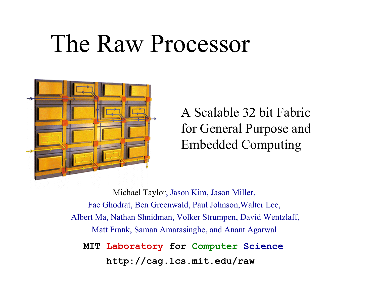# The Raw Processor



A Scalable 32 bit Fabric for General Purpose and Embedded Computing

Michael Taylor, Jason Kim, Jason Miller, Fae Ghodrat, Ben Greenwald, Paul Johnson,Walter Lee, Albert Ma, Nathan Shnidman, Volker Strumpen, David Wentzlaff, Matt Frank, Saman Amarasinghe, and Anant Agarwal

**MIT Laboratory for Computer Science**

**http://cag.lcs.mit.edu/raw**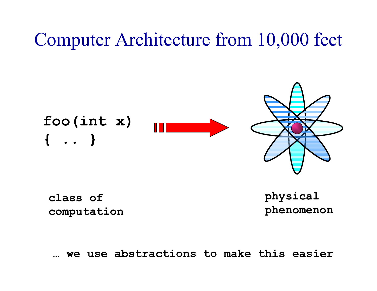# Computer Architecture from 10,000 feet



**class of computation** **physical phenomenon**

**… we use abstractions to make this easier**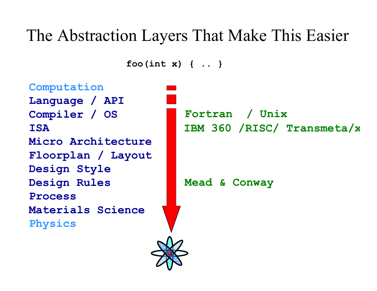## The Abstraction Layers That Make This Easier

**foo(int x) { .. }**

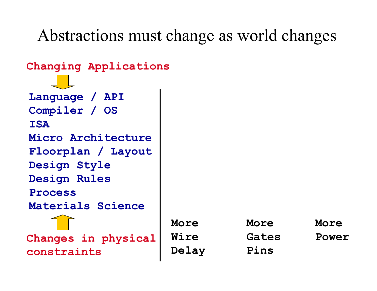Abstractions must change as world changes

| Changing Applications                                                                     |                              |                                     |               |
|-------------------------------------------------------------------------------------------|------------------------------|-------------------------------------|---------------|
| Language / API<br>Compiler / OS<br><b>ISA</b><br>Micro Architecture<br>Floorplan / Layout |                              |                                     |               |
| Design Style<br>Design Rules<br><b>Process</b><br>Materials Science                       |                              |                                     |               |
| Changes in physical<br>constraints                                                        | More<br><b>Wire</b><br>Delay | <b>More</b><br><b>Gates</b><br>Pins | More<br>Power |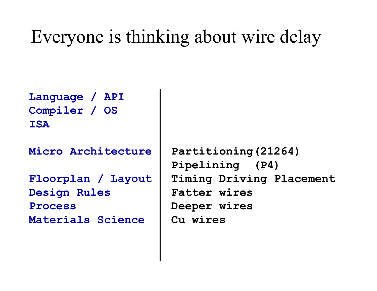# Everyone is thinking about wire delay

**Language / API Compiler / OS ISA**

**Micro Architecture**

**Floorplan / Layout Design Rules Process Materials Science**

**Partitioning(21264) Pipelining (P4) Timing Driving Placement Fatter wires Deeper wires Cu wires**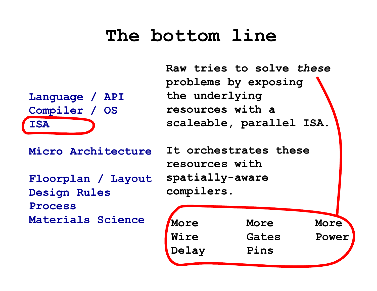## **The bottom line**



**Raw tries to solve** *these* **problems by exposing the underlying resources with a scaleable, parallel ISA.**

**Micro Architecture**

**Floorplan / Layout Design Rules Process Materials Science**

**It orchestrates these resources with spatially-aware compilers.**

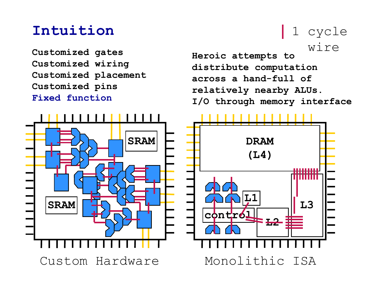#### **Intuition**

Customized gates **Willems** Wife **Customized wiring Customized placement Customized pins Fixed function**

# 1 cycle

**Heroic attempts to distribute computation across a hand-full of relatively nearby ALUs. I/O through memory interface**

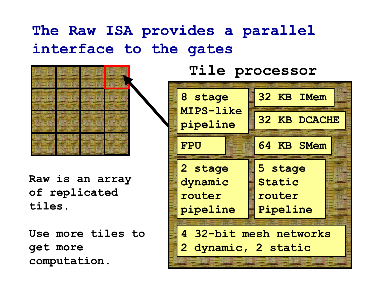## **The Raw ISA provides a parallel interface to the gates**



**Raw is an array of replicated tiles.**

**Use more tiles to get more computation.**

**8 stage MIPS-like pipeline FPU 32 KB DCACHE 32 KB IMem 64 KB SMem 5 stage Static router Pipeline 2 stage dynamic router pipeline 4 32-bit mesh networks 2 dynamic, 2 static**

**Tile processor**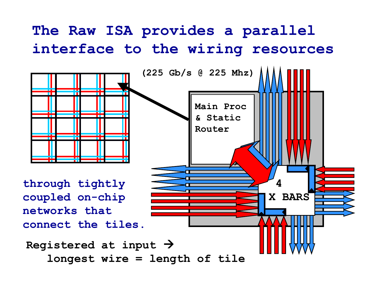## **The Raw ISA provides a parallel interface to the wiring resources**

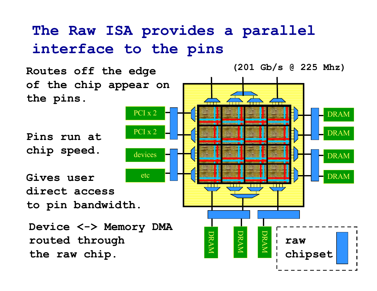## **The Raw ISA provides a parallel interface to the pins**



**(201 Gb/s @ 225 Mhz)**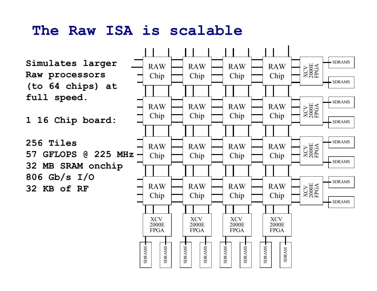#### **The Raw ISA is scalable**

Simulates larger<br>Raw processors **(to 64 chips) at full speed. 1 16 Chip board: 256 Tiles 57 GFLOPS @ 225 MHz 32 MB SRAM onchip 806 Gb/s I/O**

**32 KB of RF**

RAW Chip RAW Chip RAW Chip RAW Chip RAW Chip RAW Chip RAW Chip RAW Chip RAW Chip RAW Chip RAW Chip RAW Chip RAW Chip RAW Chip RAW Chip RAW Chip SDRAMS SDRAMS XCV 2000E FPGA SDRAMS SDRAMS XCV 2000E FPGA SDRAMS SDRAMS XCV 2000E FPGA SDRAMS SDRAM XCV 2000E FPGA SDRAMS SDRAMS XCV 2000E FPGA SDRAMS SDRAMS XCV 2000E FPGA SDRAMS SDRAMS XCV 2000E FPGA SDRAMS SDRAMS XCV 2000E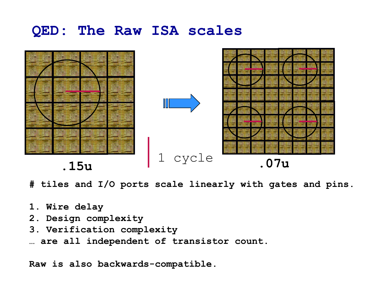#### **QED: The Raw ISA scales**





**# tiles and I/O ports scale linearly with gates and pins.**

- **1. Wire delay**
- **2. Design complexity**
- **3. Verification complexity**
- **… are all independent of transistor count.**

**Raw is also backwards-compatible.**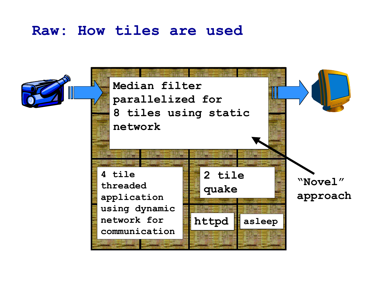#### **Raw: How tiles are used**

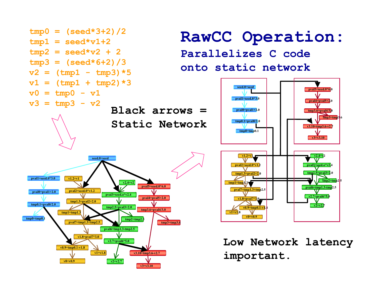

**v3=v3.10**

**v2=v2.7**

**v0=v0.9**

**important.**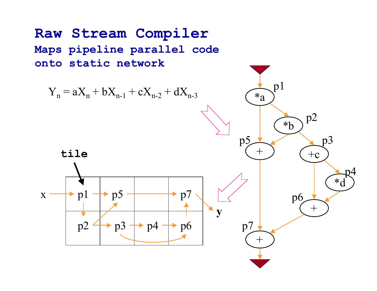**Raw Stream Compiler Maps pipeline parallel code onto static network**  $p1 + p5$  $p2 \leftrightarrow p3 \leftrightarrow p4$ x p7  $\rightarrow$  p6 **y** \*a \*b  $+c$ \*d + $\, + \,$  $\, +$  $p1$ p2 p3 p4 p6 p5 p7  $Y_n = aX_n + bX_{n-1} + cX_{n-2} + dX_{n-3}$ **tile**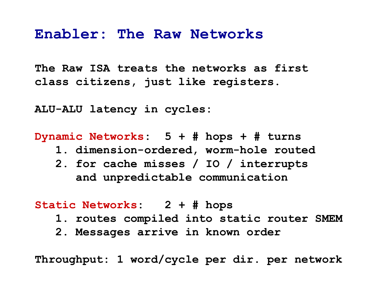#### **Enabler: The Raw Networks**

**The Raw ISA treats the networks as first class citizens, just like registers.**

**ALU-ALU latency in cycles:**

**Dynamic Networks: 5 + # hops + # turns 1. dimension-ordered, worm-hole routed 2. for cache misses / IO / interrupts and unpredictable communication**

**Static Networks: 2 + # hops**

- **1. routes compiled into static router SMEM**
- **2. Messages arrive in known order**

**Throughput: 1 word/cycle per dir. per network**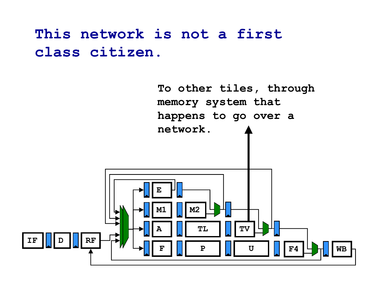## **This network is not a first class citizen.**

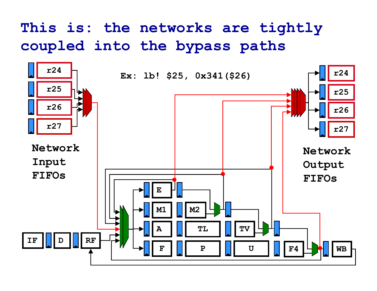## **This is: the networks are tightly coupled into the bypass paths**

![](_page_17_Figure_1.jpeg)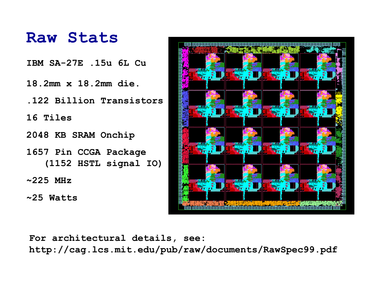#### **Raw Stats**

**IBM SA-27E .15u 6L Cu**

**18.2mm x 18.2mm die.**

**.122 Billion Transistors**

**16 Tiles**

**2048 KB SRAM Onchip**

**1657 Pin CCGA Package (1152 HSTL signal IO)**

**~225 MHz**

**~25 Watts**

![](_page_18_Picture_9.jpeg)

**For architectural details, see: http://cag.lcs.mit.edu/pub/raw/documents/RawSpec99.pdf**